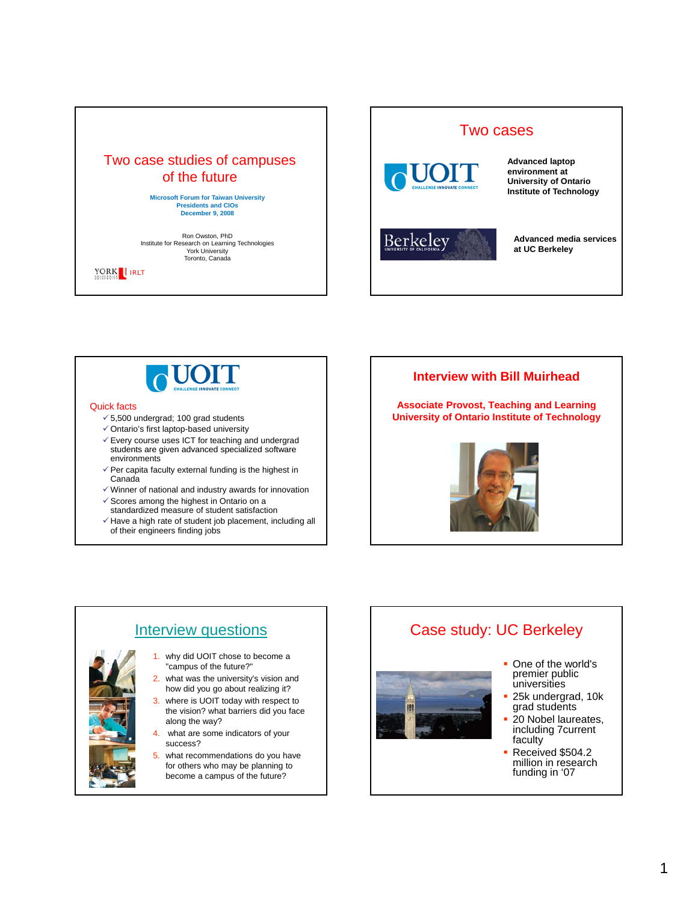





#### Quick facts

- $\checkmark$  5,500 undergrad; 100 grad students
- $\checkmark$  Ontario's first laptop-based university
- $\checkmark$  Every course uses ICT for teaching and undergrad students are given advanced specialized software environments
- $\checkmark$  Per capita faculty external funding is the highest in Canada
- $\checkmark$  Winner of national and industry awards for innovation
- $\checkmark$  Scores among the highest in Ontario on a
- standardized measure of student satisfaction  $\checkmark$  Have a high rate of student job placement, including all
- of their engineers finding jobs

#### **Interview with Bill Muirhead**

**Associate Provost, Teaching and Learning University of Ontario Institute of Technology** 





### Case study: UC Berkeley



- One of the world's premier public universities
- $-25k$  undergrad, 10 $k$ grad students
- 20 Nobel laureates, including 7current faculty
- Received \$504.2 million in research funding in '07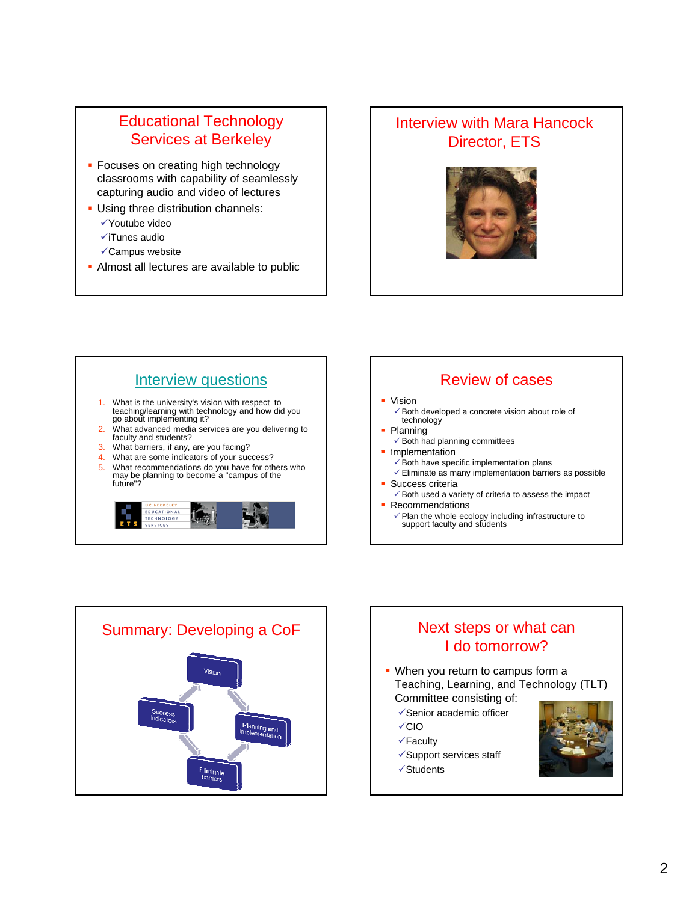### Educational Technology Services at Berkeley

- **Focuses on creating high technology** classrooms with capability of seamlessly capturing audio and video of lectures
- **Using three distribution channels:**  $\checkmark$  Youtube video
	- $\checkmark$ iTunes audio
	- $\checkmark$ Campus website
- Almost all lectures are available to public

#### Interview with Mara Hancock Director, ETS





#### Review of cases

- Vision
	- $\checkmark$  Both developed a concrete vision about role of technology
- Planning
	- $\checkmark$  Both had planning committees
- **Implementation** 
	- $\checkmark$  Both have specific implementation plans
	- $\checkmark$  Eliminate as many implementation barriers as possible Success criteria
	- $\checkmark$  Both used a variety of criteria to assess the impact Recommendations
	- $\sqrt{\ }$  Plan the whole ecology including infrastructure to support faculty and students



# I do tomorrow?

- When you return to campus form a Teaching, Learning, and Technology (TLT) Committee consisting of:
	- $\checkmark$  Senior academic officer
	- $\checkmark$ CIO
	- $\checkmark$ Faculty
	- $\checkmark$ Support services staff
	- $\checkmark$ Students